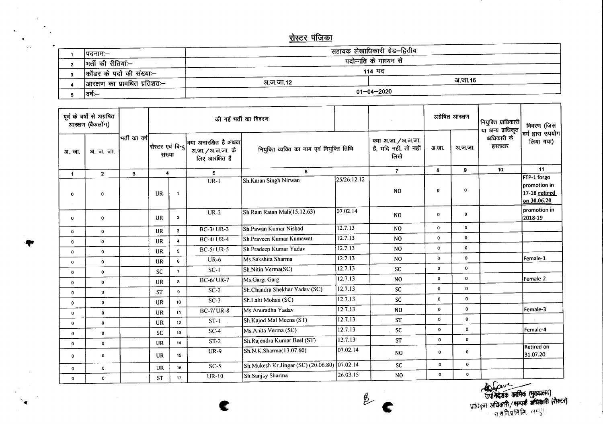## <u>रोस्टर पंजिका</u>

| ।पदनामः—                     |                       | सहायक लेखाधिकारी ग्रेड–द्वितीय |         |  |  |  |  |  |  |
|------------------------------|-----------------------|--------------------------------|---------|--|--|--|--|--|--|
| मर्ती की रीतियां:--          | पदोन्नति के माध्यम से |                                |         |  |  |  |  |  |  |
|                              | 114 पद                |                                |         |  |  |  |  |  |  |
| कॉडर के पदों की संख्या:—     |                       |                                | अ.जा.16 |  |  |  |  |  |  |
| आरक्षण का प्रावधित प्रतिशतः— | अ.ज.जा.12             |                                |         |  |  |  |  |  |  |
| वर्षः—                       | $01 - 04 - 2020$      |                                |         |  |  |  |  |  |  |

| पूर्व के वर्षों से अग्रषित<br>आरक्षण (बैकलॉग) |                |               | की गई भर्ती का विवरण         |                         |                                                                 |                                              |             |                                                       | अंग्रेषित आरक्षण |              | नियुक्ति प्राधिकारी<br>या अन्य प्राधिकृत | विवरण (जिस                                                  |
|-----------------------------------------------|----------------|---------------|------------------------------|-------------------------|-----------------------------------------------------------------|----------------------------------------------|-------------|-------------------------------------------------------|------------------|--------------|------------------------------------------|-------------------------------------------------------------|
| अ.जा.                                         | अ. ज. जा.      | मर्ती का वर्ष | रोस्टर एवं बिन्दू <br>संख्या |                         | क्या अनारक्षित है अथवा <br>अ.जा. / अ.ज.जा. के<br>लिए आरक्षित है | नियुक्ति व्यक्ति का नाम एवं नियुक्ति तिथि    |             | क्या अ.जा. / अ.ज.जा.<br>है, यदि नहीं, तो नहीं<br>लिखे | अ.जा.            | अ.ज.जा.      | अधिकारी के<br>हस्ताक्षर                  | वर्ग द्वारा उपयोग<br>लिया गया)                              |
| 1                                             | $\overline{2}$ | $\mathbf{3}$  |                              | $\overline{\mathbf{4}}$ | 5                                                               | 6                                            |             | $\overline{7}$                                        | 8                | 9            | 10                                       | 11                                                          |
| 0                                             | 0              |               | <b>UR</b>                    | -1                      | $UR-1$                                                          | Sh.Karan Singh Nirwan                        | 25/26.12.12 | N <sub>O</sub>                                        | $\bf{0}$         | $\mathbf 0$  |                                          | FTP-1 forgo<br>promotion in<br>17-18 retired<br>on 30.06.20 |
| $\mathbf 0$                                   | $\mathbf 0$    |               | <b>UR</b>                    | $\mathbf{2}$            | $UR-2$                                                          | Sh.Ram Ratan Mali(15.12.63)                  | 107.02.14   | N <sub>0</sub>                                        | $\bf{0}$         | $\mathbf 0$  |                                          | I promotion in<br>2018-19                                   |
| 0                                             | $\mathbf 0$    |               | UR                           | $\overline{\mathbf{3}}$ | <b>BC-3/UR-3</b>                                                | Sh.Pawan Kumar Nishad                        | 12.7.13     | N <sub>0</sub>                                        | $\Omega$         | $\mathbf{0}$ |                                          |                                                             |
| $\mathbf 0$                                   | $\mathbf{0}$   |               | UR                           | $\overline{\mathbf{4}}$ | <b>BC-4/UR-4</b>                                                | Sh.Praveen Kumar Kumawat                     | 12.7.13     | N <sub>0</sub>                                        | $\mathbf 0$      | $\mathbf 0$  |                                          |                                                             |
| $\mathbf 0$                                   | 0              |               | <b>UR</b>                    | 5 <sup>1</sup>          | $BC-5/UR-5$                                                     | Sh.Pradeep Kumar Yadav                       | 12.7.13     | N <sub>O</sub>                                        | $\mathbf 0$      | $\mathbf 0$  |                                          |                                                             |
| $\mathbf 0$                                   | $\mathbf 0$    |               | <b>UR</b>                    | 6                       | $UR-6$                                                          | Ms.Sakshita Sharma                           | 12.7.13     | N <sub>O</sub>                                        | $\pmb{0}$        | $\bf{0}$     |                                          | Female-1                                                    |
| $\mathbf 0$                                   | $\mathbf 0$    |               | <b>SC</b>                    | $\overline{\mathbf{z}}$ | $SC-1$                                                          | Sh.Nitin Verma(SC)                           | 12.7.13     | <b>SC</b>                                             | $\mathbf 0$      | $\mathbf 0$  |                                          |                                                             |
| $\mathbf 0$                                   | $\mathbf{0}$   |               | <b>UR</b>                    | $\bf{a}$                | <b>BC-6/UR-7</b>                                                | Ms.Gargi Garg                                | 12.7.13     | N <sub>O</sub>                                        | $\mathbf 0$      | $\mathbf 0$  |                                          | Female-2                                                    |
| $\mathbf 0$                                   | $\mathbf{0}$   |               | <b>ST</b>                    | 9                       | $SC-2$                                                          | Sh.Chandra Shekhar Yadav (SC)                | 12.7.13     | SC                                                    | $\mathbf 0$      | $\mathbf 0$  |                                          |                                                             |
| $\mathbf 0$                                   | $\mathbf 0$    |               | UR                           | 10                      | $SC-3$                                                          | Sh.Lalit Mohan (SC)                          | 12.7.13     | SC                                                    | $\mathbf 0$      | $\mathbf 0$  |                                          |                                                             |
| $\mathbf 0$                                   | $\mathbf{0}$   |               | <b>UR</b>                    | 11                      | <b>BC-7/UR-8</b>                                                | Ms.Anuradha Yadav                            | 12.7.13     | N <sub>0</sub>                                        | $\pmb{0}$        | $\mathbf{0}$ |                                          | Female-3                                                    |
| 0                                             | $\mathbf{0}$   |               | <b>UR</b>                    | 12                      | $ST-I$                                                          | Sh.Kajod Mal Meena (ST)                      | 12.7.13     | <b>ST</b>                                             | $\mathbf 0$      | $\mathbf 0$  |                                          |                                                             |
| $\mathbf 0$                                   | $\mathbf 0$    |               | <b>SC</b>                    | 13                      | $SC-4$                                                          | Ms.Anita Verma (SC)                          | 12.7.13     | <b>SC</b>                                             | $\mathbf{o}$     | $\mathbf 0$  |                                          | Female-4                                                    |
| $\mathbf 0$                                   | $\mathbf 0$    |               | <b>UR</b>                    | 14                      | $ST-2$                                                          | Sh.Rajendra Kumar Beel (ST)                  | 12.7.13     | <b>ST</b>                                             | $\mathbf{o}$     | $\mathbf 0$  |                                          |                                                             |
| $\pmb{0}$                                     | $\mathbf 0$    |               | <b>UR</b>                    | 15                      | $UR-9$                                                          | Sh.N.K.Sharma(13.07.60)                      | 07.02.14    | N <sub>0</sub>                                        | $\mathbf{0}$     | $\mathbf{o}$ |                                          | <b>Retired on</b><br>31.07.20                               |
| $\bf{0}$                                      | $\mathbf 0$    |               | UR                           | 16                      | $SC-5$                                                          | Sh.Mukesh Kr.Jingar (SC) (20.06.80) 07.02.14 |             | <b>SC</b>                                             | $\mathbf 0$      | $\mathbf{0}$ |                                          |                                                             |
| $\mathbf 0$                                   | $\mathbf{o}$   |               | <b>ST</b>                    | 17                      | <b>UR-10</b>                                                    | Sh.Sanjay Sharma                             | 26.03.15    | N <sub>0</sub>                                        | $\bullet$        | 0            |                                          |                                                             |

 $\ell$ 

 $\hat{\mathbf{v}}$ 

 $\mathbf{R}^{\mathbf{r}}$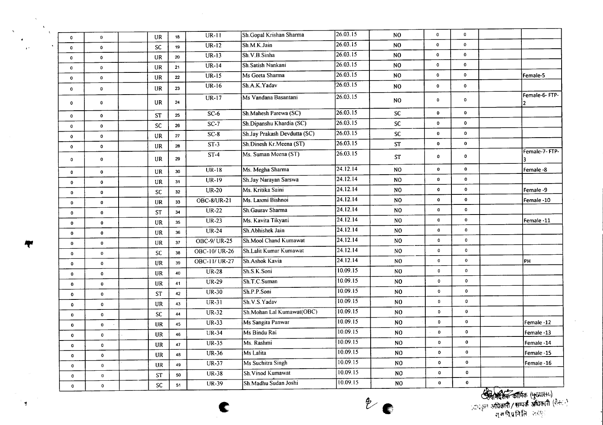| 26.03.15<br>$UR-12$<br>Sh.M.K.Jain<br>$\mathbf 0$<br>$\mathbf 0$<br>N <sub>O</sub><br><b>SC</b><br>19<br>$\mathbf 0$<br>$\mathbf{0}$<br>26.03.15<br>Sh.V.B.Sinha<br>$\mathbf 0$<br>$UR-13$<br>$\mathbf 0$<br>NO.<br><b>UR</b><br>20<br>$\mathbf 0$<br>$\mathbf 0$<br>26.03.15<br>$UR-14$<br>$\mathbf 0$<br>Sh.Satish Nankani<br>N <sub>O</sub><br>$\bullet$<br>21<br>UR<br>$\mathbf 0$<br>$\mathbf{0}$<br>26.03.15<br>Ms Geeta Sharma<br>$\mathbf 0$<br>$\mathbf{o}$<br>$UR-15$<br>NO.<br>Female-5<br>UR<br>22<br>$\mathbf{o}$<br>$\mathbf 0$<br>26.03.15<br>Sh.A.K.Yadav<br>UR-16<br>$\mathbf 0$<br>$\bf NO$<br>$\mathbf 0$<br>23<br><b>UR</b><br>$\mathbf 0$<br>$\bf{0}$<br>Female-6-FTP-<br>26.03.15<br>Ms Vandana Basantani<br>UR-17<br>$\mathbf 0$<br>$_{\rm NO}$<br>0<br>UR<br>24<br>$\mathbf 0$<br>$\mathbf{o}$<br>26.03.15<br>$SC-6$<br>$\mathbf 0$<br>Sh.Mahesh Parewa (SC)<br>$\mathsf{SC}$<br>$\mathbf 0$<br><b>ST</b><br>25<br>$\mathbf 0$<br>$\mathbf 0$<br>26.03.15<br>$SC-7$<br>Sh.Dipanshu Khardia (SC)<br><b>SC</b><br>$\mathbf 0$<br>$\mathbf 0$<br><b>SC</b><br>26<br>$\mathbf 0$<br>$\mathbf 0$<br>26.03.15<br>Sh.Jay Prakash Devdutta (SC)<br>$\mathbf 0$<br>$SC-8$<br><b>SC</b><br>$\mathbf 0$<br>UR<br>27<br>$\pmb{0}$<br>$\mathbf 0$<br>Sh.Dinesh Kr.Meena (ST)<br>26.03.15<br>$ST-3$<br><b>ST</b><br>$\mathbf 0$<br>$\mathbf 0$<br>UR<br>28<br>$\pmb{0}$<br>$\mathbf{o}$<br>Female-7-FTP-<br>26.03.15<br>Ms. Suman Meena (ST)<br>$ST-4$<br>$\mathbf 0$<br>ST<br>$\pmb{0}$<br>29<br>UR<br>$\pmb{0}$<br>$\bullet$<br>3<br>$\sqrt{24.12.14}$<br>Ms. Megha Sharma<br>$\mathbf{0}$<br>$\overline{UR-18}$<br>$_{\rm NO}$<br>$\mathbf 0$<br>Female-8<br>30 <sup>°</sup><br><b>UR</b><br>$\mathbf 0$<br>0<br>24.12.14<br>Sh.Jay Narayan Sarswa<br>$\mathbf 0$<br>$UR-19$<br>$\pmb{0}$<br>NO.<br>UR<br>31<br>$\bf{0}$<br>$\mathbf 0$<br>24.12.14<br>Ms. Kritika Saini<br>$UR-20$<br>$\mathbf 0$<br>$\mathbf 0$<br>NO.<br>Female -9<br>32<br><b>SC</b><br>$\mathbf{0}$<br>$\mathbf{0}$<br>24.12.14<br>Ms. Laxmi Bishnoi<br>$\mathbf 0$<br><b>OBC-8/UR-21</b><br>$\pmb{0}$<br>N <sub>O</sub><br>Female -10<br>33<br><b>UR</b><br>$\mathbf 0$<br>$\mathbf{0}$<br>24.12.14<br>Sh.Gaurav Sharma<br>$UR-22$<br>N <sub>O</sub><br>$\bullet$<br>$\pmb{0}$<br>34<br><b>ST</b><br>$\mathbf 0$<br>$\mathbf 0$<br>24.12.14<br>Ms. Kavita Tikyani<br>$UR-23$<br>$\bullet$<br>$\mathbf 0$<br>N <sub>0</sub><br>Female -11<br><b>UR</b><br>35<br>$\mathbf 0$<br>0<br>24.12.14<br>Sh. Abhishek Jain<br>$\pmb{0}$<br><b>UR-24</b><br>N <sub>O</sub><br>$\pmb{0}$<br>36<br>UR<br>$\mathbf 0$<br>$\mathbf 0$<br>24.12.14<br>Sh.Mool Chand Kumawat<br>$\mathbf 0$<br>OBC-9/UR-25<br>N <sub>O</sub><br>$\mathbf 0$<br>37<br>UR<br>$\mathbf 0$<br>0<br>24.12.14<br>$\mathbf 0$<br>Sh.Lalit Kumar Kumawat<br>OBC-10/ UR-26<br>NO<br>$\mathbf 0$<br>SC<br>38<br>$\mathbf{0}$<br>$\mathbf{0}$<br>24.12.14<br>OBC-11/UR-27<br>Sh.Ashok Kavia<br>$\mathbf 0$<br>$\mathbf 0$<br>PH<br>N <sub>0</sub><br><b>UR</b><br>39<br>$\mathbf 0$<br>$\mathbf{0}$<br>10.09.15<br>Sh.S.K.Soni<br>$\mathbf 0$<br>$UR-28$<br>$\pmb{0}$<br>N <sub>O</sub><br><b>UR</b><br>40<br>$\mathbf 0$<br>$\mathbf{0}$<br>10.09.15<br>Sh.T.C.Suman<br>$UR-29$<br>N <sub>O</sub><br>$\pmb{0}$<br>$\pmb{0}$<br><b>UR</b><br>41<br>$\mathbf 0$<br>$\mathbf{0}$<br>10.09.15<br>Sh.P.P.Soni<br>$\bf{0}$<br>$UR-30$<br>$_{\rm NO}$<br>$\mathbf 0$<br>42<br><b>ST</b><br>$\mathbf 0$<br>$\mathbf{o}$<br>10.09.15<br>Sh.V.S.Yadav<br>0<br>$UR-31$<br>N <sub>0</sub><br>0<br><b>UR</b><br>43<br>$\pmb{0}$<br>$\mathbf{0}$<br>10.09.15<br>Sh.Mohan Lal Kumawat(OBC)<br>$\mathbf 0$<br>$\mathbf 0$<br><b>UR-32</b><br>N <sub>O</sub><br>${\sf SC}$<br>44<br>$\mathbf 0$<br>$\mathbf{0}$<br>10.09.15<br>Ms Sangita Panwar<br>$\mathbf 0$<br><b>UR-33</b><br>N <sub>O</sub><br>$\mathbf 0$<br>Female -12<br>45<br>UR<br>$\pmb{0}$<br>$\mathbf 0$<br>10.09.15<br>$\mathbf 0$<br>Ms Bindu Rai<br>$\mathbf 0$<br><b>UR-34</b><br>N <sub>0</sub><br>Female -13<br><b>UR</b><br>46<br>$\bf{0}$<br>$\mathbf 0$<br>10.09.15<br>$\pmb{0}$<br>$UR-35$<br>Ms. Rashmi<br>N <sub>O</sub><br>0<br>Female -14<br>UR<br>47<br>$\mathbf 0$<br>$\mathbf 0$<br>10.09.15<br>$\pmb{\mathsf{o}}$<br><b>UR-36</b><br>Ms Lalita<br>$_{\rm NO}$<br>0<br>Female -15<br>UR<br>48<br>$\mathbf{o}$<br>$\mathbf{0}$<br>10.09.15<br>Ms Suchitra Singh<br>$\mathbf 0$<br><b>UR-37</b><br>$_{\rm NO}$<br>$\mathbf 0$<br>Female-16<br>UR<br>49<br>$\mathbf 0$<br>$\mathbf 0$<br>10.09.15<br>Sh.Vinod Kumawat<br>$\mathbf C$<br>$UR-38$<br>$\mathbf 0$<br>N <sub>O</sub><br><b>ST</b><br>50<br>$\mathbf 0$<br>$\mathbf 0$<br>10.09.15<br>$\pmb{0}$<br>Sh.Madhu Sudan Joshi<br><b>UR-39</b><br>N <sub>O</sub><br>$\mathbf 0$<br>SC<br>51<br>$\mathbf 0$<br>$\bf{0}$ | $\pmb{0}$ | $\mathbf 0$ | UR | 18 | $UR-11$ | Sh.Gopal Krishan Sharma | 26.03.15 | $_{\rm NO}$ | $\pmb{\mathsf{o}}$ | $\mathbf 0$ |  |
|-------------------------------------------------------------------------------------------------------------------------------------------------------------------------------------------------------------------------------------------------------------------------------------------------------------------------------------------------------------------------------------------------------------------------------------------------------------------------------------------------------------------------------------------------------------------------------------------------------------------------------------------------------------------------------------------------------------------------------------------------------------------------------------------------------------------------------------------------------------------------------------------------------------------------------------------------------------------------------------------------------------------------------------------------------------------------------------------------------------------------------------------------------------------------------------------------------------------------------------------------------------------------------------------------------------------------------------------------------------------------------------------------------------------------------------------------------------------------------------------------------------------------------------------------------------------------------------------------------------------------------------------------------------------------------------------------------------------------------------------------------------------------------------------------------------------------------------------------------------------------------------------------------------------------------------------------------------------------------------------------------------------------------------------------------------------------------------------------------------------------------------------------------------------------------------------------------------------------------------------------------------------------------------------------------------------------------------------------------------------------------------------------------------------------------------------------------------------------------------------------------------------------------------------------------------------------------------------------------------------------------------------------------------------------------------------------------------------------------------------------------------------------------------------------------------------------------------------------------------------------------------------------------------------------------------------------------------------------------------------------------------------------------------------------------------------------------------------------------------------------------------------------------------------------------------------------------------------------------------------------------------------------------------------------------------------------------------------------------------------------------------------------------------------------------------------------------------------------------------------------------------------------------------------------------------------------------------------------------------------------------------------------------------------------------------------------------------------------------------------------------------------------------------------------------------------------------------------------------------------------------------------------------------------------------------------------------------------------------------------------------------------------------------------------------------------------------------------------------------------------------------------------------------------------------------------------------------------------------------------------------------------------------------------------------------------------------------------------------------------------------------------------------------------------------------------------------------------------------------------------------------------------------------------------------------------------------------------------------------------------------------------------------------------------------------------------------------------------------------------------------------------------------|-----------|-------------|----|----|---------|-------------------------|----------|-------------|--------------------|-------------|--|
|                                                                                                                                                                                                                                                                                                                                                                                                                                                                                                                                                                                                                                                                                                                                                                                                                                                                                                                                                                                                                                                                                                                                                                                                                                                                                                                                                                                                                                                                                                                                                                                                                                                                                                                                                                                                                                                                                                                                                                                                                                                                                                                                                                                                                                                                                                                                                                                                                                                                                                                                                                                                                                                                                                                                                                                                                                                                                                                                                                                                                                                                                                                                                                                                                                                                                                                                                                                                                                                                                                                                                                                                                                                                                                                                                                                                                                                                                                                                                                                                                                                                                                                                                                                                                                                                                                                                                                                                                                                                                                                                                                                                                                                                                                                                                                               |           |             |    |    |         |                         |          |             |                    |             |  |
|                                                                                                                                                                                                                                                                                                                                                                                                                                                                                                                                                                                                                                                                                                                                                                                                                                                                                                                                                                                                                                                                                                                                                                                                                                                                                                                                                                                                                                                                                                                                                                                                                                                                                                                                                                                                                                                                                                                                                                                                                                                                                                                                                                                                                                                                                                                                                                                                                                                                                                                                                                                                                                                                                                                                                                                                                                                                                                                                                                                                                                                                                                                                                                                                                                                                                                                                                                                                                                                                                                                                                                                                                                                                                                                                                                                                                                                                                                                                                                                                                                                                                                                                                                                                                                                                                                                                                                                                                                                                                                                                                                                                                                                                                                                                                                               |           |             |    |    |         |                         |          |             |                    |             |  |
|                                                                                                                                                                                                                                                                                                                                                                                                                                                                                                                                                                                                                                                                                                                                                                                                                                                                                                                                                                                                                                                                                                                                                                                                                                                                                                                                                                                                                                                                                                                                                                                                                                                                                                                                                                                                                                                                                                                                                                                                                                                                                                                                                                                                                                                                                                                                                                                                                                                                                                                                                                                                                                                                                                                                                                                                                                                                                                                                                                                                                                                                                                                                                                                                                                                                                                                                                                                                                                                                                                                                                                                                                                                                                                                                                                                                                                                                                                                                                                                                                                                                                                                                                                                                                                                                                                                                                                                                                                                                                                                                                                                                                                                                                                                                                                               |           |             |    |    |         |                         |          |             |                    |             |  |
|                                                                                                                                                                                                                                                                                                                                                                                                                                                                                                                                                                                                                                                                                                                                                                                                                                                                                                                                                                                                                                                                                                                                                                                                                                                                                                                                                                                                                                                                                                                                                                                                                                                                                                                                                                                                                                                                                                                                                                                                                                                                                                                                                                                                                                                                                                                                                                                                                                                                                                                                                                                                                                                                                                                                                                                                                                                                                                                                                                                                                                                                                                                                                                                                                                                                                                                                                                                                                                                                                                                                                                                                                                                                                                                                                                                                                                                                                                                                                                                                                                                                                                                                                                                                                                                                                                                                                                                                                                                                                                                                                                                                                                                                                                                                                                               |           |             |    |    |         |                         |          |             |                    |             |  |
|                                                                                                                                                                                                                                                                                                                                                                                                                                                                                                                                                                                                                                                                                                                                                                                                                                                                                                                                                                                                                                                                                                                                                                                                                                                                                                                                                                                                                                                                                                                                                                                                                                                                                                                                                                                                                                                                                                                                                                                                                                                                                                                                                                                                                                                                                                                                                                                                                                                                                                                                                                                                                                                                                                                                                                                                                                                                                                                                                                                                                                                                                                                                                                                                                                                                                                                                                                                                                                                                                                                                                                                                                                                                                                                                                                                                                                                                                                                                                                                                                                                                                                                                                                                                                                                                                                                                                                                                                                                                                                                                                                                                                                                                                                                                                                               |           |             |    |    |         |                         |          |             |                    |             |  |
|                                                                                                                                                                                                                                                                                                                                                                                                                                                                                                                                                                                                                                                                                                                                                                                                                                                                                                                                                                                                                                                                                                                                                                                                                                                                                                                                                                                                                                                                                                                                                                                                                                                                                                                                                                                                                                                                                                                                                                                                                                                                                                                                                                                                                                                                                                                                                                                                                                                                                                                                                                                                                                                                                                                                                                                                                                                                                                                                                                                                                                                                                                                                                                                                                                                                                                                                                                                                                                                                                                                                                                                                                                                                                                                                                                                                                                                                                                                                                                                                                                                                                                                                                                                                                                                                                                                                                                                                                                                                                                                                                                                                                                                                                                                                                                               |           |             |    |    |         |                         |          |             |                    |             |  |
|                                                                                                                                                                                                                                                                                                                                                                                                                                                                                                                                                                                                                                                                                                                                                                                                                                                                                                                                                                                                                                                                                                                                                                                                                                                                                                                                                                                                                                                                                                                                                                                                                                                                                                                                                                                                                                                                                                                                                                                                                                                                                                                                                                                                                                                                                                                                                                                                                                                                                                                                                                                                                                                                                                                                                                                                                                                                                                                                                                                                                                                                                                                                                                                                                                                                                                                                                                                                                                                                                                                                                                                                                                                                                                                                                                                                                                                                                                                                                                                                                                                                                                                                                                                                                                                                                                                                                                                                                                                                                                                                                                                                                                                                                                                                                                               |           |             |    |    |         |                         |          |             |                    |             |  |
|                                                                                                                                                                                                                                                                                                                                                                                                                                                                                                                                                                                                                                                                                                                                                                                                                                                                                                                                                                                                                                                                                                                                                                                                                                                                                                                                                                                                                                                                                                                                                                                                                                                                                                                                                                                                                                                                                                                                                                                                                                                                                                                                                                                                                                                                                                                                                                                                                                                                                                                                                                                                                                                                                                                                                                                                                                                                                                                                                                                                                                                                                                                                                                                                                                                                                                                                                                                                                                                                                                                                                                                                                                                                                                                                                                                                                                                                                                                                                                                                                                                                                                                                                                                                                                                                                                                                                                                                                                                                                                                                                                                                                                                                                                                                                                               |           |             |    |    |         |                         |          |             |                    |             |  |
|                                                                                                                                                                                                                                                                                                                                                                                                                                                                                                                                                                                                                                                                                                                                                                                                                                                                                                                                                                                                                                                                                                                                                                                                                                                                                                                                                                                                                                                                                                                                                                                                                                                                                                                                                                                                                                                                                                                                                                                                                                                                                                                                                                                                                                                                                                                                                                                                                                                                                                                                                                                                                                                                                                                                                                                                                                                                                                                                                                                                                                                                                                                                                                                                                                                                                                                                                                                                                                                                                                                                                                                                                                                                                                                                                                                                                                                                                                                                                                                                                                                                                                                                                                                                                                                                                                                                                                                                                                                                                                                                                                                                                                                                                                                                                                               |           |             |    |    |         |                         |          |             |                    |             |  |
|                                                                                                                                                                                                                                                                                                                                                                                                                                                                                                                                                                                                                                                                                                                                                                                                                                                                                                                                                                                                                                                                                                                                                                                                                                                                                                                                                                                                                                                                                                                                                                                                                                                                                                                                                                                                                                                                                                                                                                                                                                                                                                                                                                                                                                                                                                                                                                                                                                                                                                                                                                                                                                                                                                                                                                                                                                                                                                                                                                                                                                                                                                                                                                                                                                                                                                                                                                                                                                                                                                                                                                                                                                                                                                                                                                                                                                                                                                                                                                                                                                                                                                                                                                                                                                                                                                                                                                                                                                                                                                                                                                                                                                                                                                                                                                               |           |             |    |    |         |                         |          |             |                    |             |  |
|                                                                                                                                                                                                                                                                                                                                                                                                                                                                                                                                                                                                                                                                                                                                                                                                                                                                                                                                                                                                                                                                                                                                                                                                                                                                                                                                                                                                                                                                                                                                                                                                                                                                                                                                                                                                                                                                                                                                                                                                                                                                                                                                                                                                                                                                                                                                                                                                                                                                                                                                                                                                                                                                                                                                                                                                                                                                                                                                                                                                                                                                                                                                                                                                                                                                                                                                                                                                                                                                                                                                                                                                                                                                                                                                                                                                                                                                                                                                                                                                                                                                                                                                                                                                                                                                                                                                                                                                                                                                                                                                                                                                                                                                                                                                                                               |           |             |    |    |         |                         |          |             |                    |             |  |
|                                                                                                                                                                                                                                                                                                                                                                                                                                                                                                                                                                                                                                                                                                                                                                                                                                                                                                                                                                                                                                                                                                                                                                                                                                                                                                                                                                                                                                                                                                                                                                                                                                                                                                                                                                                                                                                                                                                                                                                                                                                                                                                                                                                                                                                                                                                                                                                                                                                                                                                                                                                                                                                                                                                                                                                                                                                                                                                                                                                                                                                                                                                                                                                                                                                                                                                                                                                                                                                                                                                                                                                                                                                                                                                                                                                                                                                                                                                                                                                                                                                                                                                                                                                                                                                                                                                                                                                                                                                                                                                                                                                                                                                                                                                                                                               |           |             |    |    |         |                         |          |             |                    |             |  |
|                                                                                                                                                                                                                                                                                                                                                                                                                                                                                                                                                                                                                                                                                                                                                                                                                                                                                                                                                                                                                                                                                                                                                                                                                                                                                                                                                                                                                                                                                                                                                                                                                                                                                                                                                                                                                                                                                                                                                                                                                                                                                                                                                                                                                                                                                                                                                                                                                                                                                                                                                                                                                                                                                                                                                                                                                                                                                                                                                                                                                                                                                                                                                                                                                                                                                                                                                                                                                                                                                                                                                                                                                                                                                                                                                                                                                                                                                                                                                                                                                                                                                                                                                                                                                                                                                                                                                                                                                                                                                                                                                                                                                                                                                                                                                                               |           |             |    |    |         |                         |          |             |                    |             |  |
|                                                                                                                                                                                                                                                                                                                                                                                                                                                                                                                                                                                                                                                                                                                                                                                                                                                                                                                                                                                                                                                                                                                                                                                                                                                                                                                                                                                                                                                                                                                                                                                                                                                                                                                                                                                                                                                                                                                                                                                                                                                                                                                                                                                                                                                                                                                                                                                                                                                                                                                                                                                                                                                                                                                                                                                                                                                                                                                                                                                                                                                                                                                                                                                                                                                                                                                                                                                                                                                                                                                                                                                                                                                                                                                                                                                                                                                                                                                                                                                                                                                                                                                                                                                                                                                                                                                                                                                                                                                                                                                                                                                                                                                                                                                                                                               |           |             |    |    |         |                         |          |             |                    |             |  |
|                                                                                                                                                                                                                                                                                                                                                                                                                                                                                                                                                                                                                                                                                                                                                                                                                                                                                                                                                                                                                                                                                                                                                                                                                                                                                                                                                                                                                                                                                                                                                                                                                                                                                                                                                                                                                                                                                                                                                                                                                                                                                                                                                                                                                                                                                                                                                                                                                                                                                                                                                                                                                                                                                                                                                                                                                                                                                                                                                                                                                                                                                                                                                                                                                                                                                                                                                                                                                                                                                                                                                                                                                                                                                                                                                                                                                                                                                                                                                                                                                                                                                                                                                                                                                                                                                                                                                                                                                                                                                                                                                                                                                                                                                                                                                                               |           |             |    |    |         |                         |          |             |                    |             |  |
|                                                                                                                                                                                                                                                                                                                                                                                                                                                                                                                                                                                                                                                                                                                                                                                                                                                                                                                                                                                                                                                                                                                                                                                                                                                                                                                                                                                                                                                                                                                                                                                                                                                                                                                                                                                                                                                                                                                                                                                                                                                                                                                                                                                                                                                                                                                                                                                                                                                                                                                                                                                                                                                                                                                                                                                                                                                                                                                                                                                                                                                                                                                                                                                                                                                                                                                                                                                                                                                                                                                                                                                                                                                                                                                                                                                                                                                                                                                                                                                                                                                                                                                                                                                                                                                                                                                                                                                                                                                                                                                                                                                                                                                                                                                                                                               |           |             |    |    |         |                         |          |             |                    |             |  |
|                                                                                                                                                                                                                                                                                                                                                                                                                                                                                                                                                                                                                                                                                                                                                                                                                                                                                                                                                                                                                                                                                                                                                                                                                                                                                                                                                                                                                                                                                                                                                                                                                                                                                                                                                                                                                                                                                                                                                                                                                                                                                                                                                                                                                                                                                                                                                                                                                                                                                                                                                                                                                                                                                                                                                                                                                                                                                                                                                                                                                                                                                                                                                                                                                                                                                                                                                                                                                                                                                                                                                                                                                                                                                                                                                                                                                                                                                                                                                                                                                                                                                                                                                                                                                                                                                                                                                                                                                                                                                                                                                                                                                                                                                                                                                                               |           |             |    |    |         |                         |          |             |                    |             |  |
|                                                                                                                                                                                                                                                                                                                                                                                                                                                                                                                                                                                                                                                                                                                                                                                                                                                                                                                                                                                                                                                                                                                                                                                                                                                                                                                                                                                                                                                                                                                                                                                                                                                                                                                                                                                                                                                                                                                                                                                                                                                                                                                                                                                                                                                                                                                                                                                                                                                                                                                                                                                                                                                                                                                                                                                                                                                                                                                                                                                                                                                                                                                                                                                                                                                                                                                                                                                                                                                                                                                                                                                                                                                                                                                                                                                                                                                                                                                                                                                                                                                                                                                                                                                                                                                                                                                                                                                                                                                                                                                                                                                                                                                                                                                                                                               |           |             |    |    |         |                         |          |             |                    |             |  |
|                                                                                                                                                                                                                                                                                                                                                                                                                                                                                                                                                                                                                                                                                                                                                                                                                                                                                                                                                                                                                                                                                                                                                                                                                                                                                                                                                                                                                                                                                                                                                                                                                                                                                                                                                                                                                                                                                                                                                                                                                                                                                                                                                                                                                                                                                                                                                                                                                                                                                                                                                                                                                                                                                                                                                                                                                                                                                                                                                                                                                                                                                                                                                                                                                                                                                                                                                                                                                                                                                                                                                                                                                                                                                                                                                                                                                                                                                                                                                                                                                                                                                                                                                                                                                                                                                                                                                                                                                                                                                                                                                                                                                                                                                                                                                                               |           |             |    |    |         |                         |          |             |                    |             |  |
|                                                                                                                                                                                                                                                                                                                                                                                                                                                                                                                                                                                                                                                                                                                                                                                                                                                                                                                                                                                                                                                                                                                                                                                                                                                                                                                                                                                                                                                                                                                                                                                                                                                                                                                                                                                                                                                                                                                                                                                                                                                                                                                                                                                                                                                                                                                                                                                                                                                                                                                                                                                                                                                                                                                                                                                                                                                                                                                                                                                                                                                                                                                                                                                                                                                                                                                                                                                                                                                                                                                                                                                                                                                                                                                                                                                                                                                                                                                                                                                                                                                                                                                                                                                                                                                                                                                                                                                                                                                                                                                                                                                                                                                                                                                                                                               |           |             |    |    |         |                         |          |             |                    |             |  |
|                                                                                                                                                                                                                                                                                                                                                                                                                                                                                                                                                                                                                                                                                                                                                                                                                                                                                                                                                                                                                                                                                                                                                                                                                                                                                                                                                                                                                                                                                                                                                                                                                                                                                                                                                                                                                                                                                                                                                                                                                                                                                                                                                                                                                                                                                                                                                                                                                                                                                                                                                                                                                                                                                                                                                                                                                                                                                                                                                                                                                                                                                                                                                                                                                                                                                                                                                                                                                                                                                                                                                                                                                                                                                                                                                                                                                                                                                                                                                                                                                                                                                                                                                                                                                                                                                                                                                                                                                                                                                                                                                                                                                                                                                                                                                                               |           |             |    |    |         |                         |          |             |                    |             |  |
|                                                                                                                                                                                                                                                                                                                                                                                                                                                                                                                                                                                                                                                                                                                                                                                                                                                                                                                                                                                                                                                                                                                                                                                                                                                                                                                                                                                                                                                                                                                                                                                                                                                                                                                                                                                                                                                                                                                                                                                                                                                                                                                                                                                                                                                                                                                                                                                                                                                                                                                                                                                                                                                                                                                                                                                                                                                                                                                                                                                                                                                                                                                                                                                                                                                                                                                                                                                                                                                                                                                                                                                                                                                                                                                                                                                                                                                                                                                                                                                                                                                                                                                                                                                                                                                                                                                                                                                                                                                                                                                                                                                                                                                                                                                                                                               |           |             |    |    |         |                         |          |             |                    |             |  |
|                                                                                                                                                                                                                                                                                                                                                                                                                                                                                                                                                                                                                                                                                                                                                                                                                                                                                                                                                                                                                                                                                                                                                                                                                                                                                                                                                                                                                                                                                                                                                                                                                                                                                                                                                                                                                                                                                                                                                                                                                                                                                                                                                                                                                                                                                                                                                                                                                                                                                                                                                                                                                                                                                                                                                                                                                                                                                                                                                                                                                                                                                                                                                                                                                                                                                                                                                                                                                                                                                                                                                                                                                                                                                                                                                                                                                                                                                                                                                                                                                                                                                                                                                                                                                                                                                                                                                                                                                                                                                                                                                                                                                                                                                                                                                                               |           |             |    |    |         |                         |          |             |                    |             |  |
|                                                                                                                                                                                                                                                                                                                                                                                                                                                                                                                                                                                                                                                                                                                                                                                                                                                                                                                                                                                                                                                                                                                                                                                                                                                                                                                                                                                                                                                                                                                                                                                                                                                                                                                                                                                                                                                                                                                                                                                                                                                                                                                                                                                                                                                                                                                                                                                                                                                                                                                                                                                                                                                                                                                                                                                                                                                                                                                                                                                                                                                                                                                                                                                                                                                                                                                                                                                                                                                                                                                                                                                                                                                                                                                                                                                                                                                                                                                                                                                                                                                                                                                                                                                                                                                                                                                                                                                                                                                                                                                                                                                                                                                                                                                                                                               |           |             |    |    |         |                         |          |             |                    |             |  |
|                                                                                                                                                                                                                                                                                                                                                                                                                                                                                                                                                                                                                                                                                                                                                                                                                                                                                                                                                                                                                                                                                                                                                                                                                                                                                                                                                                                                                                                                                                                                                                                                                                                                                                                                                                                                                                                                                                                                                                                                                                                                                                                                                                                                                                                                                                                                                                                                                                                                                                                                                                                                                                                                                                                                                                                                                                                                                                                                                                                                                                                                                                                                                                                                                                                                                                                                                                                                                                                                                                                                                                                                                                                                                                                                                                                                                                                                                                                                                                                                                                                                                                                                                                                                                                                                                                                                                                                                                                                                                                                                                                                                                                                                                                                                                                               |           |             |    |    |         |                         |          |             |                    |             |  |
|                                                                                                                                                                                                                                                                                                                                                                                                                                                                                                                                                                                                                                                                                                                                                                                                                                                                                                                                                                                                                                                                                                                                                                                                                                                                                                                                                                                                                                                                                                                                                                                                                                                                                                                                                                                                                                                                                                                                                                                                                                                                                                                                                                                                                                                                                                                                                                                                                                                                                                                                                                                                                                                                                                                                                                                                                                                                                                                                                                                                                                                                                                                                                                                                                                                                                                                                                                                                                                                                                                                                                                                                                                                                                                                                                                                                                                                                                                                                                                                                                                                                                                                                                                                                                                                                                                                                                                                                                                                                                                                                                                                                                                                                                                                                                                               |           |             |    |    |         |                         |          |             |                    |             |  |
|                                                                                                                                                                                                                                                                                                                                                                                                                                                                                                                                                                                                                                                                                                                                                                                                                                                                                                                                                                                                                                                                                                                                                                                                                                                                                                                                                                                                                                                                                                                                                                                                                                                                                                                                                                                                                                                                                                                                                                                                                                                                                                                                                                                                                                                                                                                                                                                                                                                                                                                                                                                                                                                                                                                                                                                                                                                                                                                                                                                                                                                                                                                                                                                                                                                                                                                                                                                                                                                                                                                                                                                                                                                                                                                                                                                                                                                                                                                                                                                                                                                                                                                                                                                                                                                                                                                                                                                                                                                                                                                                                                                                                                                                                                                                                                               |           |             |    |    |         |                         |          |             |                    |             |  |
|                                                                                                                                                                                                                                                                                                                                                                                                                                                                                                                                                                                                                                                                                                                                                                                                                                                                                                                                                                                                                                                                                                                                                                                                                                                                                                                                                                                                                                                                                                                                                                                                                                                                                                                                                                                                                                                                                                                                                                                                                                                                                                                                                                                                                                                                                                                                                                                                                                                                                                                                                                                                                                                                                                                                                                                                                                                                                                                                                                                                                                                                                                                                                                                                                                                                                                                                                                                                                                                                                                                                                                                                                                                                                                                                                                                                                                                                                                                                                                                                                                                                                                                                                                                                                                                                                                                                                                                                                                                                                                                                                                                                                                                                                                                                                                               |           |             |    |    |         |                         |          |             |                    |             |  |
|                                                                                                                                                                                                                                                                                                                                                                                                                                                                                                                                                                                                                                                                                                                                                                                                                                                                                                                                                                                                                                                                                                                                                                                                                                                                                                                                                                                                                                                                                                                                                                                                                                                                                                                                                                                                                                                                                                                                                                                                                                                                                                                                                                                                                                                                                                                                                                                                                                                                                                                                                                                                                                                                                                                                                                                                                                                                                                                                                                                                                                                                                                                                                                                                                                                                                                                                                                                                                                                                                                                                                                                                                                                                                                                                                                                                                                                                                                                                                                                                                                                                                                                                                                                                                                                                                                                                                                                                                                                                                                                                                                                                                                                                                                                                                                               |           |             |    |    |         |                         |          |             |                    |             |  |
|                                                                                                                                                                                                                                                                                                                                                                                                                                                                                                                                                                                                                                                                                                                                                                                                                                                                                                                                                                                                                                                                                                                                                                                                                                                                                                                                                                                                                                                                                                                                                                                                                                                                                                                                                                                                                                                                                                                                                                                                                                                                                                                                                                                                                                                                                                                                                                                                                                                                                                                                                                                                                                                                                                                                                                                                                                                                                                                                                                                                                                                                                                                                                                                                                                                                                                                                                                                                                                                                                                                                                                                                                                                                                                                                                                                                                                                                                                                                                                                                                                                                                                                                                                                                                                                                                                                                                                                                                                                                                                                                                                                                                                                                                                                                                                               |           |             |    |    |         |                         |          |             |                    |             |  |
|                                                                                                                                                                                                                                                                                                                                                                                                                                                                                                                                                                                                                                                                                                                                                                                                                                                                                                                                                                                                                                                                                                                                                                                                                                                                                                                                                                                                                                                                                                                                                                                                                                                                                                                                                                                                                                                                                                                                                                                                                                                                                                                                                                                                                                                                                                                                                                                                                                                                                                                                                                                                                                                                                                                                                                                                                                                                                                                                                                                                                                                                                                                                                                                                                                                                                                                                                                                                                                                                                                                                                                                                                                                                                                                                                                                                                                                                                                                                                                                                                                                                                                                                                                                                                                                                                                                                                                                                                                                                                                                                                                                                                                                                                                                                                                               |           |             |    |    |         |                         |          |             |                    |             |  |
|                                                                                                                                                                                                                                                                                                                                                                                                                                                                                                                                                                                                                                                                                                                                                                                                                                                                                                                                                                                                                                                                                                                                                                                                                                                                                                                                                                                                                                                                                                                                                                                                                                                                                                                                                                                                                                                                                                                                                                                                                                                                                                                                                                                                                                                                                                                                                                                                                                                                                                                                                                                                                                                                                                                                                                                                                                                                                                                                                                                                                                                                                                                                                                                                                                                                                                                                                                                                                                                                                                                                                                                                                                                                                                                                                                                                                                                                                                                                                                                                                                                                                                                                                                                                                                                                                                                                                                                                                                                                                                                                                                                                                                                                                                                                                                               |           |             |    |    |         |                         |          |             |                    |             |  |
|                                                                                                                                                                                                                                                                                                                                                                                                                                                                                                                                                                                                                                                                                                                                                                                                                                                                                                                                                                                                                                                                                                                                                                                                                                                                                                                                                                                                                                                                                                                                                                                                                                                                                                                                                                                                                                                                                                                                                                                                                                                                                                                                                                                                                                                                                                                                                                                                                                                                                                                                                                                                                                                                                                                                                                                                                                                                                                                                                                                                                                                                                                                                                                                                                                                                                                                                                                                                                                                                                                                                                                                                                                                                                                                                                                                                                                                                                                                                                                                                                                                                                                                                                                                                                                                                                                                                                                                                                                                                                                                                                                                                                                                                                                                                                                               |           |             |    |    |         |                         |          |             |                    |             |  |

£

 $\mathcal{L}$ 

 $\bigoplus_{i=1}^n \bigotimes_{i=1}^n \mathbb{Z}^n$ 

 $\mathbf{I}$ 

Ţ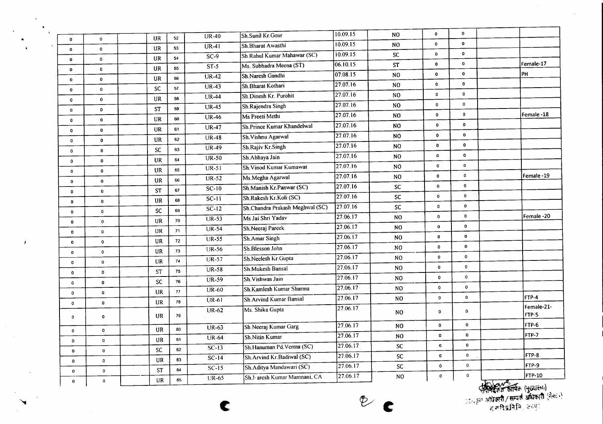|                              |                            |           | 52 | $UR-40$            | Sh.Sunil Kr.Gour                | 10.09.15          | N <sub>O</sub> | $\mathbf 0$  | $\mathbf{o}$ |                   |               |
|------------------------------|----------------------------|-----------|----|--------------------|---------------------------------|-------------------|----------------|--------------|--------------|-------------------|---------------|
| $\mathbf 0$                  | $\mathbf 0$                | <b>UR</b> | 53 | $\overline{UR-41}$ | Sh.Bharat Awasthi               | 10.09.15          | N <sub>0</sub> | $\bullet$    | $\mathbf 0$  |                   |               |
| $\mathbf 0$                  | $\mathbf 0$                | UR        | 54 | $SC-9$             | Sh.Rahul Kumar Mahawar (SC)     | 10.09.15          | <b>SC</b>      | 0            | 0            |                   |               |
| $\mathbf 0$                  | $\mathbf 0$                | <b>UR</b> |    | $ST-5$             | Ms. Subhadra Meena (ST)         | 06.10.15          | <b>ST</b>      | $\mathbf 0$  | $\mathbf 0$  |                   | Female-17     |
| $\bf o$                      | 0                          | <b>UR</b> | 55 | $UR-42$            | Sh.Naresh Gandhi                | 07.08.15          | N <sub>O</sub> | $\mathbf{0}$ | $\mathbf{0}$ |                   | PH            |
| $\mathbf 0$                  | $\bullet$                  | <b>UR</b> | 56 | $UR-43$            | Sh.Bharat Kothari               | 27.07.16          | NO.            | $\mathbf 0$  | $\mathbf 0$  |                   |               |
| $\bf{0}$                     | $\mathbf{o}$               | SC        | 57 | $UR-44$            | Sh.Dinesh Kr. Purohit           | 27.07.16          | N <sub>O</sub> | 0            | $\mathbf 0$  |                   |               |
| $\mathbf 0$                  | $\mathbf{o}$               | <b>UR</b> | 58 | <b>UR-45</b>       | Sh.Rajendra Singh               | 27.07.16          | NO.            | $\mathbf{o}$ | $\mathbf 0$  |                   |               |
| $\bf{0}$                     | $\mathbf{0}$               | <b>ST</b> | 59 | $UR-46$            | Ms Preeti Methi                 | 27.07.16          | N <sub>0</sub> | $\bullet$    | $\mathbf{0}$ |                   | Female -18    |
| $\mathbf 0$                  | $\mathbf 0$                | UR        | 60 | $UR-47$            | Sh.Prince Kumar Khandelwal      | 27.07.16          | NO             | 0            | $\mathbf 0$  |                   |               |
| $\mathbf 0$                  | 0                          | UR        | 61 | $UR-48$            | Sh. Vishnu Agarwal              | 27.07.16          | N <sub>O</sub> | $\pmb{0}$    | $\mathbf 0$  |                   |               |
| $\circ$                      | $\pmb{0}$                  | <b>UR</b> | 62 | $UR-49$            | Sh.Rajiv Kr.Singh               | $\sqrt{27.07.16}$ | NO.            | $\mathbf 0$  | $\mathbf 0$  |                   |               |
| $\mathbf{o}$                 | $\mathbf{0}$               | <b>SC</b> | 63 | $UR-50$            | Sh.Abhaya Jain                  | 27.07.16          | N <sub>O</sub> | $\mathbf 0$  | 0            |                   |               |
| $\mathbf 0$                  | $\mathbf 0$                | <b>UR</b> | 64 | $UR-51$            | Sh. Vinod Kumar Kumawat         | 27.07.16          | N <sub>O</sub> | $\mathbf 0$  | 0            |                   |               |
| $\pmb{0}$                    | $\mathbf 0$                | UR        | 65 | $\overline{UR-52}$ | Ms.Megha Agarwal                | 27.07.16          | N <sub>O</sub> | $\mathbf 0$  | 0            |                   | Female-19     |
| $\mathbf 0$                  | $\mathbf 0$                | <b>UR</b> | 66 | $SC-10$            | Sh.Manish Kr.Panwar (SC)        | 27.07.16          | ${\sf SC}$     | $\mathbf 0$  | $\mathbf 0$  |                   |               |
| $\mathbf 0$                  | $\mathbf 0$                | <b>ST</b> | 67 |                    | Sh.Rakesh Kr.Koli (SC)          | 27.07.16          | ${\sf SC}$     | $\mathbf 0$  | $\mathbf 0$  |                   |               |
| $\mathbf{0}$                 | $\mathbf 0$                | <b>UR</b> | 68 | $\overline{SC-11}$ | Sh.Chandra Prakash Meghwal (SC) | 27.07.16          | SC             | $\mathbf 0$  | $\mathbf 0$  |                   |               |
| 0                            | $\mathbf 0$                | <b>SC</b> | 69 | $SC-12$            | Ms Jai Shri Yadav               | 27.06.17          | NO.            | $\mathbf 0$  | $\mathbf 0$  |                   | Female -20    |
| $\mathbf{0}$                 | $\mathbf{0}$               | <b>UR</b> | 70 | <b>UR-53</b>       | Sh.Neeraj Pareek                | 27.06.17          | NO.            | $\mathbf 0$  | $\mathbf 0$  |                   |               |
| $\mathbf{0}$                 | $\mathbf 0$                | UR        | 71 | $UR-54$            |                                 | 27.06.17          | N <sub>O</sub> | $\pmb{0}$    | $\pmb{0}$    |                   |               |
| $\mathbf 0$                  | $\mathbf 0$                | UR        | 72 | <b>UR-55</b>       | Sh.Amar Singh                   | 27.06.17          | NO.            | 0            | $\bullet$    |                   |               |
| $\mathbf 0$                  | $\mathbf{o}$               | UR        | 73 | $UR-56$            | Sh.Blesson John                 | 27.06.17          | NO.            | 0            | $\mathbf 0$  |                   |               |
| $\mathbf 0$                  | $\mathbf 0$                | UR        | 74 | $UR-57$            | Sh.Neelesh Kr.Gupta             | 27.06.17          | NO.            | $\mathbf 0$  | 0            |                   |               |
| $\mathbf{0}$                 | $\mathbf 0$                | <b>ST</b> | 75 | $UR-58$            | Sh.Mukesh Bansal                | 27.06.17          |                | $\mathbf 0$  | $\mathbf{o}$ |                   |               |
| $\mathbf 0$                  | $\pmb{0}$                  | <b>SC</b> | 76 | $UR-59$            | Sh. Vishwas Jain                | 27.06.17          | N <sub>O</sub> | $\mathbf 0$  | $\mathbf 0$  |                   |               |
| $\mathbf 0$                  | $\pmb{0}$                  | <b>UR</b> | 77 | $\overline{UR-60}$ | Sh Kamlesh Kumar Sharma         | [27.06.17]        | N <sub>O</sub> | $\mathbf 0$  | 0            |                   | FTP-4         |
| 0                            | $\mathbf 0$                | UR        | 78 | $UR-61$            | Sh. Arvind Kumar Bansal         |                   | NO.            |              |              |                   | Female-21-    |
| 0                            | $\bullet$                  | <b>UR</b> | 79 | <b>UR-62</b>       | Ms. Shika Gupta                 | 27.06.17          | NO.            | $\mathbf 0$  | $\mathbf 0$  |                   | FTP-5         |
|                              | $\mathbf 0$                | UR        | 80 | $UR-63$            | Sh.Neeraj Kumar Garg            | $\sqrt{27.06.17}$ | N <sub>0</sub> | $\mathbf 0$  | $\bf{0}$     |                   | FTP-6         |
| $\mathbf{0}$<br>$\mathbf{0}$ | $\pmb{0}$                  | UR        | 81 | <b>UR-64</b>       | Sh.Nitin Kumar                  | 27.06.17          | N <sub>O</sub> | $\mathbf 0$  | $\pmb{0}$    |                   | FTP-7         |
|                              | $\mathbf{o}$               | SC        | 82 | $\overline{SC-13}$ | Sh.Hanuman Pd.Verma (SC)        | 27.06.17          | ${\sf SC}$     | $\mathbf 0$  | $\mathbf 0$  |                   |               |
| $\bf{0}$                     |                            | UR        | 83 | $\overline{SC-14}$ | Sh.Arvind Kr.Badiwal (SC)       | 27.06.17          | SC             | $\mathbf 0$  | $\mathbf 0$  |                   | FTP-8         |
| $\mathbf{0}$                 | $\mathbf 0$<br>$\mathbf 0$ | <b>ST</b> | 84 | $SC-15$            | Sh.Aditya Mandawari (SC)        | 27.06.17          | SC             | $\mathbf 0$  | $\mathbf 0$  |                   | FTP-9         |
| $\mathbf{o}$                 |                            | UR        | 85 | $\overline{UR-65}$ | Sh. haresh Kumar Mamnani, CA    | 27.06.17          | NO.            | $\pmb{0}$    | $\mathbf 0$  |                   | <b>FTP-10</b> |
| $\bf{0}$                     | $\mathbf 0$                |           |    |                    |                                 |                   |                |              |              | $H(\alpha\delta)$ |               |

e **Vc**

 $\frac{1}{\sqrt{2}}\left(\frac{1}{\sqrt{2}}\right)^{n-1}\left(\frac{1}{\sqrt{2}}\right)^{n-1}\left(\frac{1}{\sqrt{2}}\right)^{n-1}\left(\frac{1}{\sqrt{2}}\right)^{n-1}$ 

 $\hat{\mathbf{v}}$ 

 $\mathbf{j}$